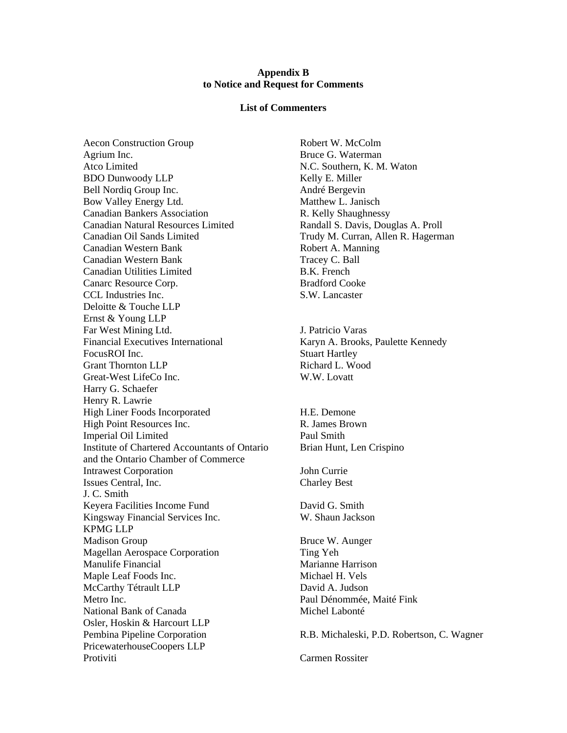## **Appendix B to Notice and Request for Comments**

## **List of Commenters**

Aecon Construction Group Robert W. McColm Agrium Inc. **Bruce G. Waterman** Atco Limited N.C. Southern, K. M. Waton BDO Dunwoody LLP Kelly E. Miller Bell Nordig Group Inc. André Bergevin Bow Valley Energy Ltd. Matthew L. Janisch Canadian Bankers Association **R. Kelly Shaughnessy** Canadian Natural Resources Limited Randall S. Davis, Douglas A. Proll Canadian Oil Sands Limited Trudy M. Curran, Allen R. Hagerman Canadian Western Bank Robert A. Manning Canadian Western Bank Tracey C. Ball Canadian Utilities Limited B.K. French Canarc Resource Corp. Bradford Cooke CCL Industries Inc. S.W. Lancaster Deloitte & Touche LLP Ernst & Young LLP Far West Mining Ltd. J. Patricio Varas Financial Executives International Karyn A. Brooks, Paulette Kennedy FocusROI Inc. Stuart Hartley Grant Thornton LLP Richard L. Wood Great-West LifeCo Inc. W.W. Lovatt Harry G. Schaefer Henry R. Lawrie High Liner Foods Incorporated H.E. Demone High Point Resources Inc. The R. James Brown Imperial Oil Limited Paul Smith Institute of Chartered Accountants of Ontario Brian Hunt, Len Crispino and the Ontario Chamber of Commerce **Intrawest Corporation** John Currie Issues Central, Inc. Charley Best J. C. Smith Keyera Facilities Income Fund David G. Smith Kingsway Financial Services Inc. W. Shaun Jackson KPMG LLP Madison Group Bruce W. Aunger Magellan Aerospace Corporation Ting Yeh Manulife Financial **Marianne** Harrison Maple Leaf Foods Inc. Nichael H. Vels McCarthy Tétrault LLP David A. Judson Metro Inc. Paul Dénommée, Maité Fink National Bank of Canada Michel Labonté Osler, Hoskin & Harcourt LLP Pembina Pipeline Corporation R.B. Michaleski, P.D. Robertson, C. Wagner PricewaterhouseCoopers LLP Protiviti Carmen Rossiter